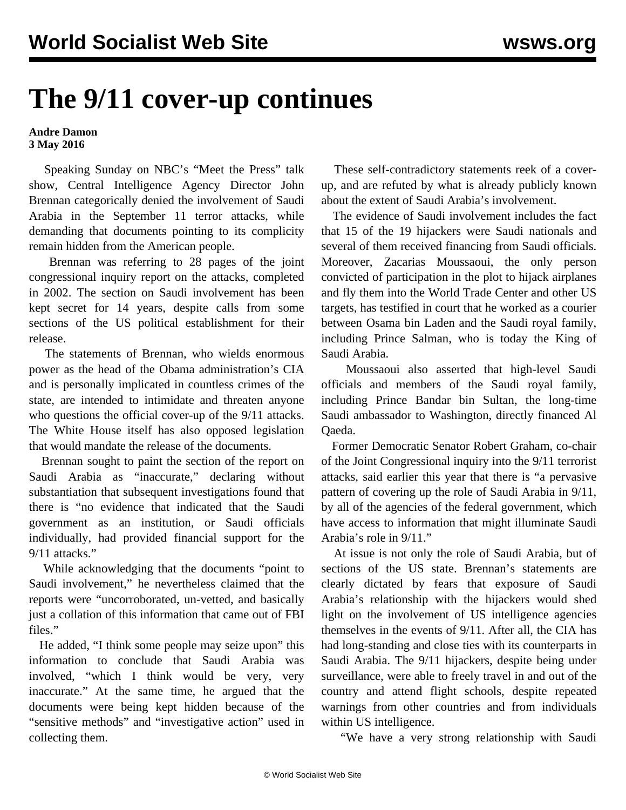## **The 9/11 cover-up continues**

## **Andre Damon 3 May 2016**

 Speaking Sunday on NBC's "Meet the Press" talk show, Central Intelligence Agency Director John Brennan categorically denied the involvement of Saudi Arabia in the September 11 terror attacks, while demanding that documents pointing to its complicity remain hidden from the American people.

 Brennan was referring to 28 pages of the joint congressional inquiry report on the attacks, completed in 2002. The section on Saudi involvement has been kept secret for 14 years, despite calls from some sections of the US political establishment for their release.

 The statements of Brennan, who wields enormous power as the head of the Obama administration's CIA and is personally implicated in countless crimes of the state, are intended to intimidate and threaten anyone who questions the official cover-up of the  $9/11$  attacks. The White House itself has also opposed legislation that would mandate the release of the documents.

 Brennan sought to paint the section of the report on Saudi Arabia as "inaccurate," declaring without substantiation that subsequent investigations found that there is "no evidence that indicated that the Saudi government as an institution, or Saudi officials individually, had provided financial support for the 9/11 attacks."

 While acknowledging that the documents "point to Saudi involvement," he nevertheless claimed that the reports were "uncorroborated, un-vetted, and basically just a collation of this information that came out of FBI files."

 He added, "I think some people may seize upon" this information to conclude that Saudi Arabia was involved, "which I think would be very, very inaccurate." At the same time, he argued that the documents were being kept hidden because of the "sensitive methods" and "investigative action" used in collecting them.

 These self-contradictory statements reek of a coverup, and are refuted by what is already publicly known about the extent of Saudi Arabia's involvement.

 The evidence of Saudi involvement includes the fact that 15 of the 19 hijackers were Saudi nationals and several of them received financing from Saudi officials. Moreover, Zacarias Moussaoui, the only person convicted of participation in the plot to hijack airplanes and fly them into the World Trade Center and other US targets, has testified in court that he worked as a courier between Osama bin Laden and the Saudi royal family, including Prince Salman, who is today the King of Saudi Arabia.

 Moussaoui also asserted that high-level Saudi officials and members of the Saudi royal family, including Prince Bandar bin Sultan, the long-time Saudi ambassador to Washington, directly financed Al Qaeda.

 Former Democratic Senator Robert Graham, co-chair of the Joint Congressional inquiry into the 9/11 terrorist attacks, said earlier this year that there is "a pervasive pattern of covering up the role of Saudi Arabia in 9/11, by all of the agencies of the federal government, which have access to information that might illuminate Saudi Arabia's role in 9/11."

 At issue is not only the role of Saudi Arabia, but of sections of the US state. Brennan's statements are clearly dictated by fears that exposure of Saudi Arabia's relationship with the hijackers would shed light on the involvement of US intelligence agencies themselves in the events of 9/11. After all, the CIA has had long-standing and close ties with its counterparts in Saudi Arabia. The 9/11 hijackers, despite being under surveillance, were able to freely travel in and out of the country and attend flight schools, despite repeated warnings from other countries and from individuals within US intelligence.

"We have a very strong relationship with Saudi